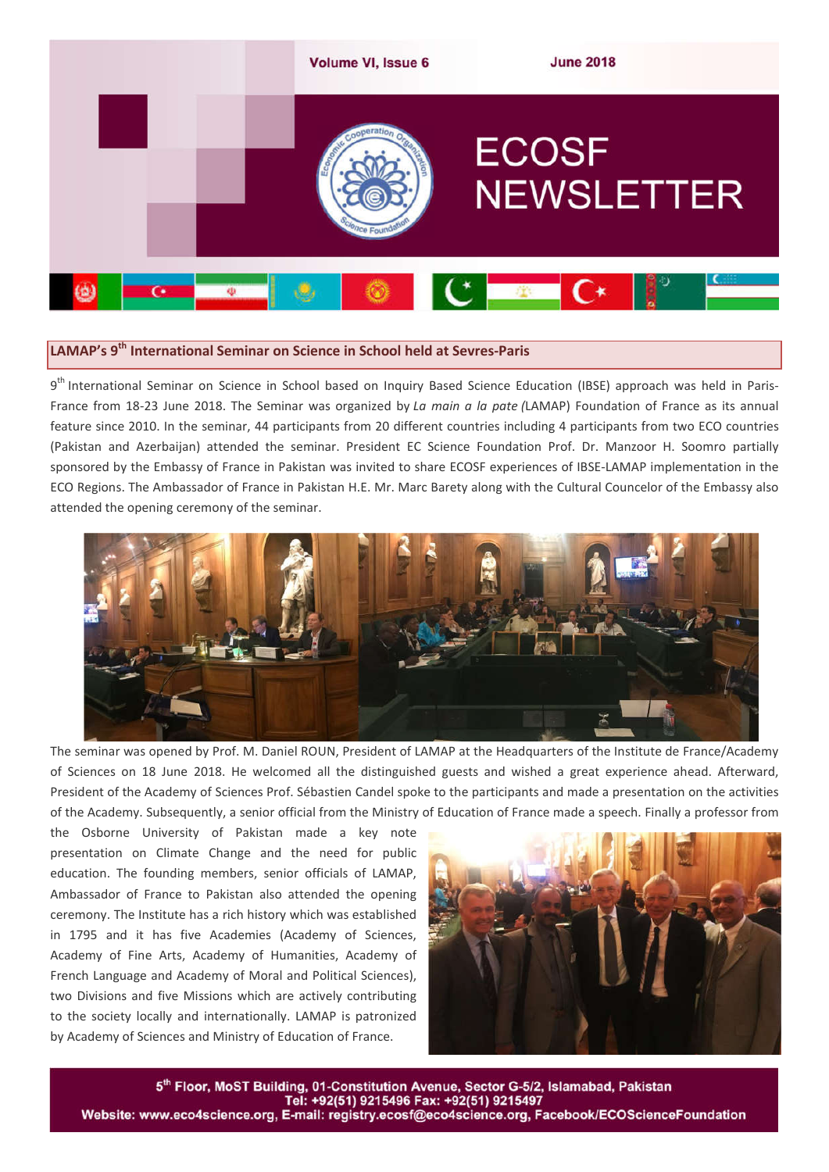

### **LAMAP's 9th International Seminar on Science in School held at Sevres-Paris**

9<sup>th</sup> International Seminar on Science in School based on Inquiry Based Science Education (IBSE) approach was held in Paris-France from 18-23 June 2018. The Seminar was organized by *La main a la pate (*LAMAP) Foundation of France as its annual feature since 2010. In the seminar, 44 participants from 20 different countries including 4 participants from two ECO countries (Pakistan and Azerbaijan) attended the seminar. President EC Science Foundation Prof. Dr. Manzoor H. Soomro partially sponsored by the Embassy of France in Pakistan was invited to share ECOSF experiences of IBSE-LAMAP implementation in the ECO Regions. The Ambassador of France in Pakistan H.E. Mr. Marc Barety along with the Cultural Councelor of the Embassy also attended the opening ceremony of the seminar.



The seminar was opened by Prof. M. Daniel ROUN, President of LAMAP at the Headquarters of the Institute de France/Academy of Sciences on 18 June 2018. He welcomed all the distinguished guests and wished a great experience ahead. Afterward, President of the Academy of Sciences Prof. Sébastien Candel spoke to the participants and made a presentation on the activities of the Academy. Subsequently, a senior official from the Ministry of Education of France made a speech. Finally a professor from

the Osborne University of Pakistan made a key note presentation on Climate Change and the need for public education. The founding members, senior officials of LAMAP, Ambassador of France to Pakistan also attended the opening ceremony. The Institute has a rich history which was established in 1795 and it has five Academies (Academy of Sciences, Academy of Fine Arts, Academy of Humanities, Academy of French Language and Academy of Moral and Political Sciences), two Divisions and five Missions which are actively contributing to the society locally and internationally. LAMAP is patronized by Academy of Sciences and Ministry of Education of France.



5th Floor, MoST Building, 01-Constitution Avenue, Sector G-5/2, Islamabad, Pakistan Website: www.eco4science.org, E-mail: registry.ecosf@eco4science.org, Facebook/ECOScienceFoundation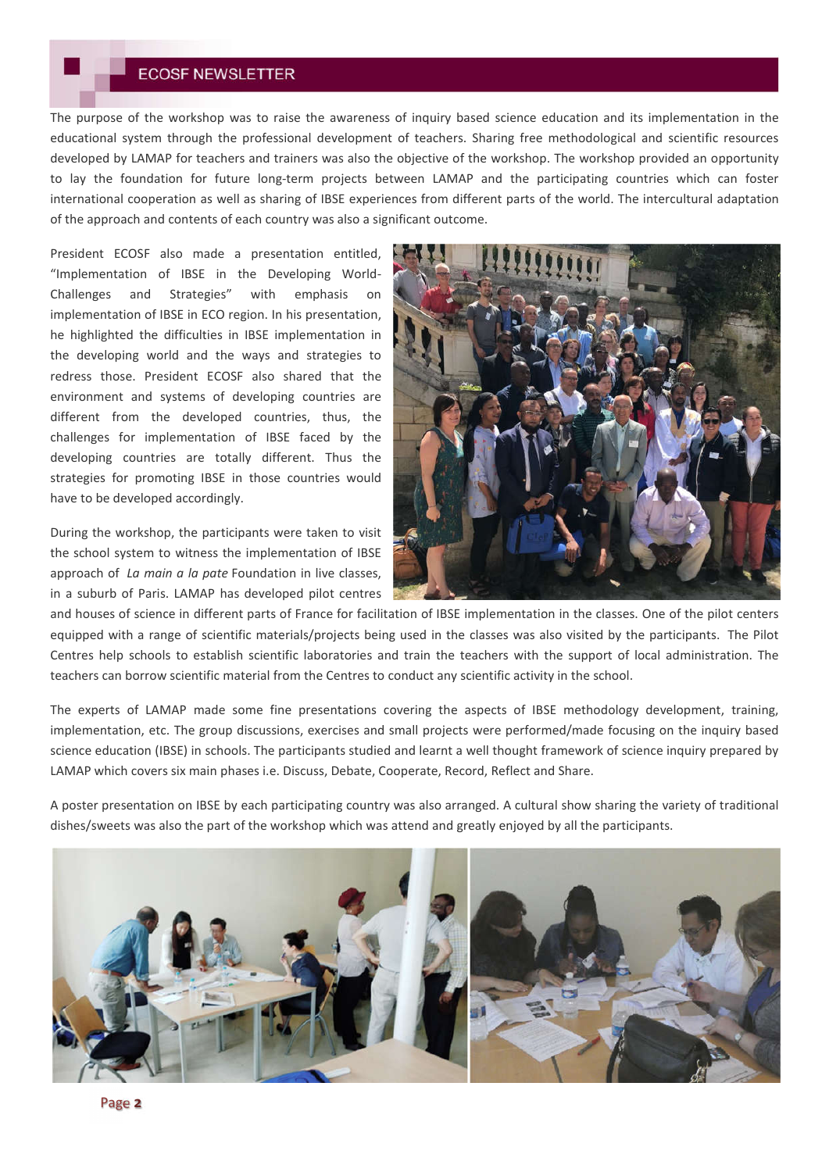The purpose of the workshop was to raise the awareness of inquiry based science education and its implementation in the educational system through the professional development of teachers. Sharing free methodological and scientific resources developed by LAMAP for teachers and trainers was also the objective of the workshop. The workshop provided an opportunity to lay the foundation for future long-term projects between LAMAP and the participating countries which can foster international cooperation as well as sharing of IBSE experiences from different parts of the world. The intercultural adaptation of the approach and contents of each country was also a significant outcome.

President ECOSF also made a presentation entitled, "Implementation of IBSE in the Developing World-Challenges and Strategies" with emphasis on implementation of IBSE in ECO region. In his presentation, he highlighted the difficulties in IBSE implementation in the developing world and the ways and strategies to redress those. President ECOSF also shared that the environment and systems of developing countries are different from the developed countries, thus, the challenges for implementation of IBSE faced by the developing countries are totally different. Thus the strategies for promoting IBSE in those countries would have to be developed accordingly.

During the workshop, the participants were taken to visit the school system to witness the implementation of IBSE approach of *La main a la pate* Foundation in live classes, in a suburb of Paris. LAMAP has developed pilot centres



and houses of science in different parts of France for facilitation of IBSE implementation in the classes. One of the pilot centers equipped with a range of scientific materials/projects being used in the classes was also visited by the participants. The Pilot Centres help schools to establish scientific laboratories and train the teachers with the support of local administration. The teachers can borrow scientific material from the Centres to conduct any scientific activity in the school.

The experts of LAMAP made some fine presentations covering the aspects of IBSE methodology development, training, implementation, etc. The group discussions, exercises and small projects were performed/made focusing on the inquiry based science education (IBSE) in schools. The participants studied and learnt a well thought framework of science inquiry prepared by LAMAP which covers six main phases i.e. Discuss, Debate, Cooperate, Record, Reflect and Share.

A poster presentation on IBSE by each participating country was also arranged. A cultural show sharing the variety of traditional dishes/sweets was also the part of the workshop which was attend and greatly enjoyed by all the participants.

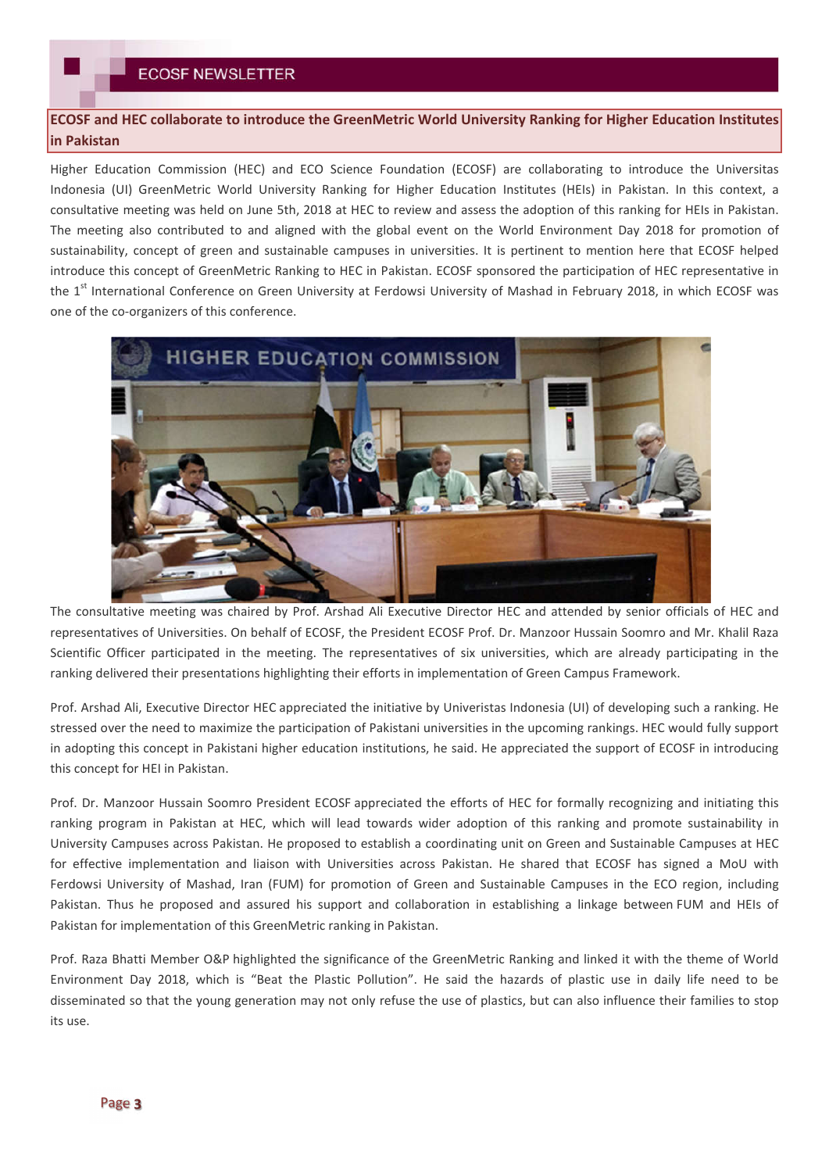## **ECOSF and HEC collaborate to introduce the GreenMetric World University Ranking for Higher Education Institutes in Pakistan**

Higher Education Commission (HEC) and ECO Science Foundation (ECOSF) are collaborating to introduce the Universitas Indonesia (UI) GreenMetric World University Ranking for Higher Education Institutes (HEIs) in Pakistan. In this context, a consultative meeting was held on June 5th, 2018 at HEC to review and assess the adoption of this ranking for HEIs in Pakistan. The meeting also contributed to and aligned with the global event on the World Environment Day 2018 for promotion of sustainability, concept of green and sustainable campuses in universities. It is pertinent to mention here that ECOSF helped introduce this concept of GreenMetric Ranking to HEC in Pakistan. ECOSF sponsored the participation of HEC representative in the 1<sup>st</sup> International Conference on Green University at Ferdowsi University of Mashad in February 2018, in which ECOSF was one of the co-organizers of this conference.



The consultative meeting was chaired by Prof. Arshad Ali Executive Director HEC and attended by senior officials of HEC and representatives of Universities. On behalf of ECOSF, the President ECOSF Prof. Dr. Manzoor Hussain Soomro and Mr. Khalil Raza Scientific Officer participated in the meeting. The representatives of six universities, which are already participating in the ranking delivered their presentations highlighting their efforts in implementation of Green Campus Framework.

Prof. Arshad Ali, Executive Director HEC appreciated the initiative by Univeristas Indonesia (UI) of developing such a ranking. He stressed over the need to maximize the participation of Pakistani universities in the upcoming rankings. HEC would fully support in adopting this concept in Pakistani higher education institutions, he said. He appreciated the support of ECOSF in introducing this concept for HEI in Pakistan.

Prof. Dr. Manzoor Hussain Soomro President ECOSF appreciated the efforts of HEC for formally recognizing and initiating this ranking program in Pakistan at HEC, which will lead towards wider adoption of this ranking and promote sustainability in University Campuses across Pakistan. He proposed to establish a coordinating unit on Green and Sustainable Campuses at HEC for effective implementation and liaison with Universities across Pakistan. He shared that ECOSF has signed a MoU with Ferdowsi University of Mashad, Iran (FUM) for promotion of Green and Sustainable Campuses in the ECO region, including Pakistan. Thus he proposed and assured his support and collaboration in establishing a linkage between FUM and HEIs of Pakistan for implementation of this GreenMetric ranking in Pakistan.

Prof. Raza Bhatti Member O&P highlighted the significance of the GreenMetric Ranking and linked it with the theme of World Environment Day 2018, which is "Beat the Plastic Pollution". He said the hazards of plastic use in daily life need to be disseminated so that the young generation may not only refuse the use of plastics, but can also influence their families to stop its use.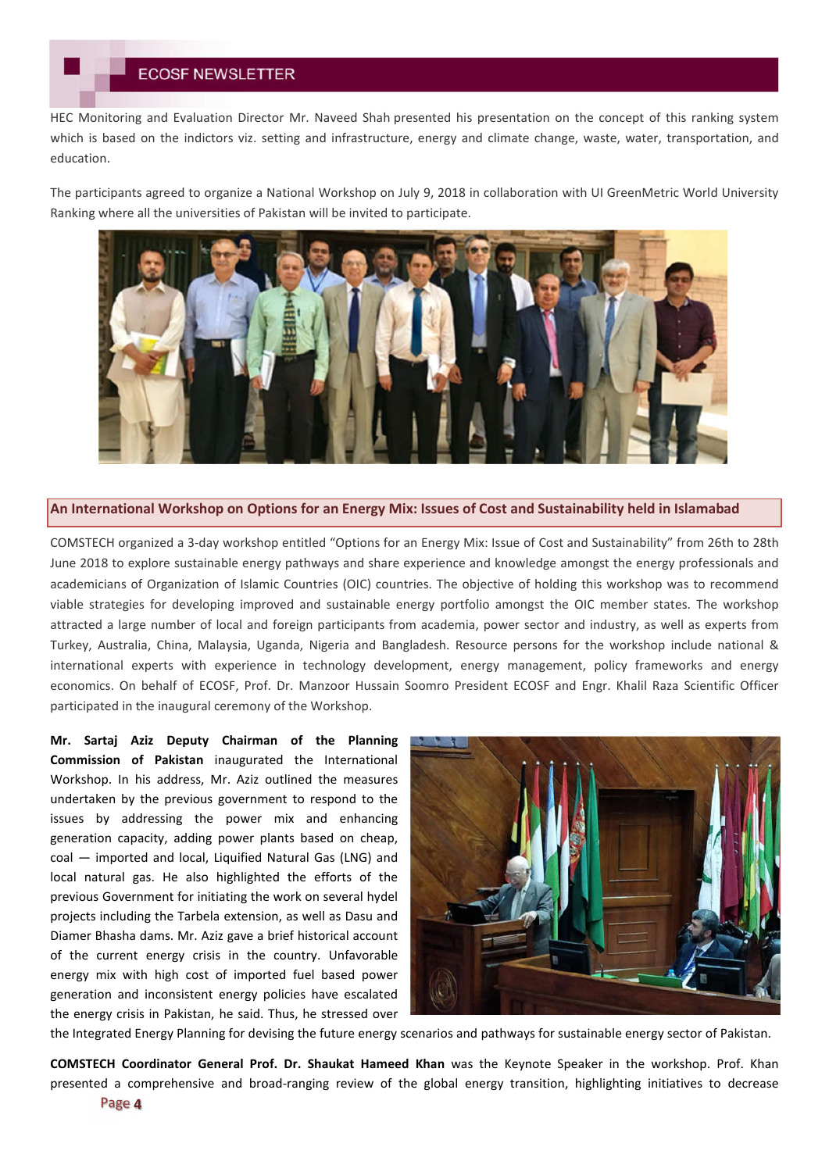HEC Monitoring and Evaluation Director Mr. Naveed Shah presented his presentation on the concept of this ranking system which is based on the indictors viz. setting and infrastructure, energy and climate change, waste, water, transportation, and education.

The participants agreed to organize a National Workshop on July 9, 2018 in collaboration with UI GreenMetric World University Ranking where all the universities of Pakistan will be invited to participate.



**An International Workshop on Options for an Energy Mix: Issues of Cost and Sustainability held in Islamabad**

COMSTECH organized a 3-day workshop entitled "Options for an Energy Mix: Issue of Cost and Sustainability" from 26th to 28th June 2018 to explore sustainable energy pathways and share experience and knowledge amongst the energy professionals and academicians of Organization of Islamic Countries (OIC) countries. The objective of holding this workshop was to recommend viable strategies for developing improved and sustainable energy portfolio amongst the OIC member states. The workshop attracted a large number of local and foreign participants from academia, power sector and industry, as well as experts from Turkey, Australia, China, Malaysia, Uganda, Nigeria and Bangladesh. Resource persons for the workshop include national & international experts with experience in technology development, energy management, policy frameworks and energy economics. On behalf of ECOSF, Prof. Dr. Manzoor Hussain Soomro President ECOSF and Engr. Khalil Raza Scientific Officer participated in the inaugural ceremony of the Workshop.

**Mr. Sartaj Aziz Deputy Chairman of the Planning Commission of Pakistan** inaugurated the International Workshop. In his address, Mr. Aziz outlined the measures undertaken by the previous government to respond to the issues by addressing the power mix and enhancing generation capacity, adding power plants based on cheap, coal — imported and local, Liquified Natural Gas (LNG) and local natural gas. He also highlighted the efforts of the previous Government for initiating the work on several hydel projects including the Tarbela extension, as well as Dasu and Diamer Bhasha dams. Mr. Aziz gave a brief historical account of the current energy crisis in the country. Unfavorable energy mix with high cost of imported fuel based power generation and inconsistent energy policies have escalated the energy crisis in Pakistan, he said. Thus, he stressed over



the Integrated Energy Planning for devising the future energy scenarios and pathways for sustainable energy sector of Pakistan.

**COMSTECH Coordinator General Prof. Dr. Shaukat Hameed Khan** was the Keynote Speaker in the workshop. Prof. Khan presented a comprehensive and broad-ranging review of the global energy transition, highlighting initiatives to decrease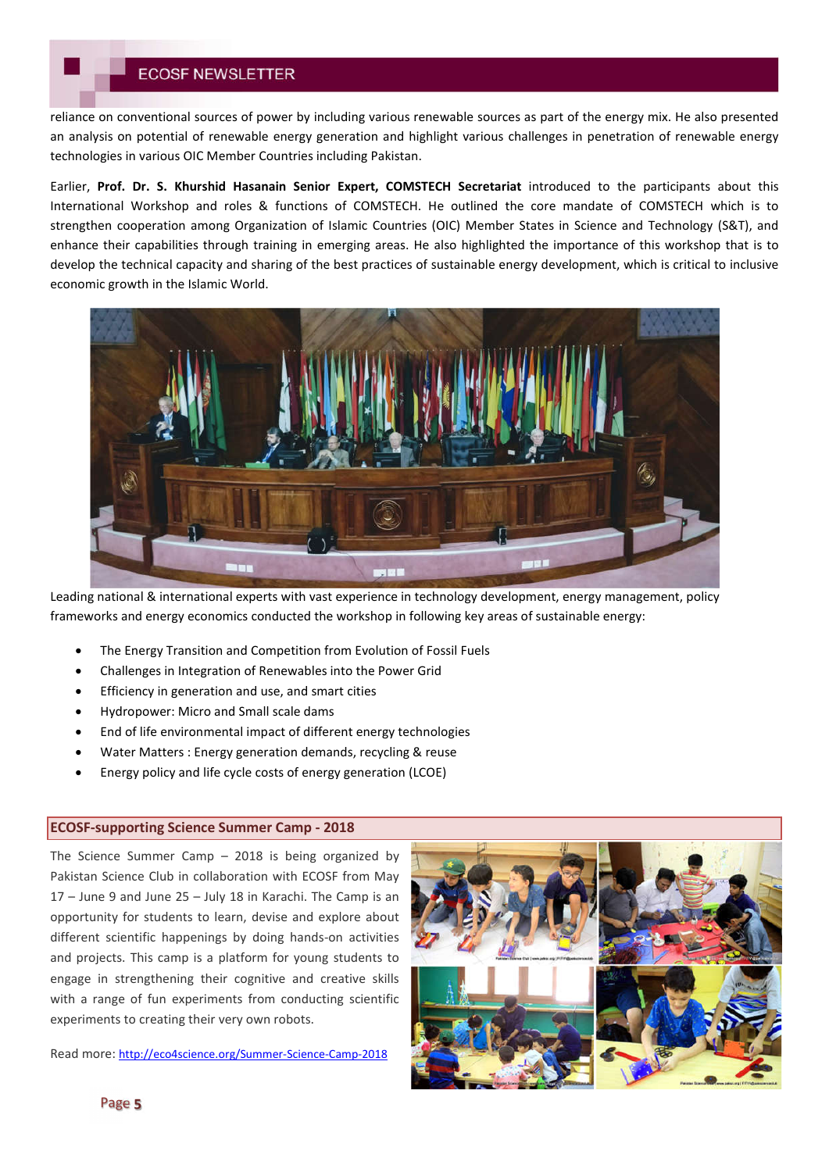reliance on conventional sources of power by including various renewable sources as part of the energy mix. He also presented an analysis on potential of renewable energy generation and highlight various challenges in penetration of renewable energy technologies in various OIC Member Countries including Pakistan.

Earlier, **Prof. Dr. S. Khurshid Hasanain Senior Expert, COMSTECH Secretariat** introduced to the participants about this International Workshop and roles & functions of COMSTECH. He outlined the core mandate of COMSTECH which is to strengthen cooperation among Organization of Islamic Countries (OIC) Member States in Science and Technology (S&T), and enhance their capabilities through training in emerging areas. He also highlighted the importance of this workshop that is to develop the technical capacity and sharing of the best practices of sustainable energy development, which is critical to inclusive economic growth in the Islamic World.



Leading national & international experts with vast experience in technology development, energy management, policy frameworks and energy economics conducted the workshop in following key areas of sustainable energy:

- The Energy Transition and Competition from Evolution of Fossil Fuels
- Challenges in Integration of Renewables into the Power Grid
- Efficiency in generation and use, and smart cities
- Hydropower: Micro and Small scale dams
- End of life environmental impact of different energy technologies
- Water Matters : Energy generation demands, recycling & reuse
- Energy policy and life cycle costs of energy generation (LCOE)

#### **ECOSF-supporting Science Summer Camp - 2018**

The Science Summer Camp  $-$  2018 is being organized by Pakistan Science Club in collaboration with ECOSF from May 17 – June 9 and June 25 – July 18 in Karachi. The Camp is an opportunity for students to learn, devise and explore about different scientific happenings by doing hands-on activities and projects. This camp is a platform for young students to engage in strengthening their cognitive and creative skills with a range of fun experiments from conducting scientific experiments to creating their very own robots.

Read more: http://eco4science.org/Summer-Science-Camp-2018

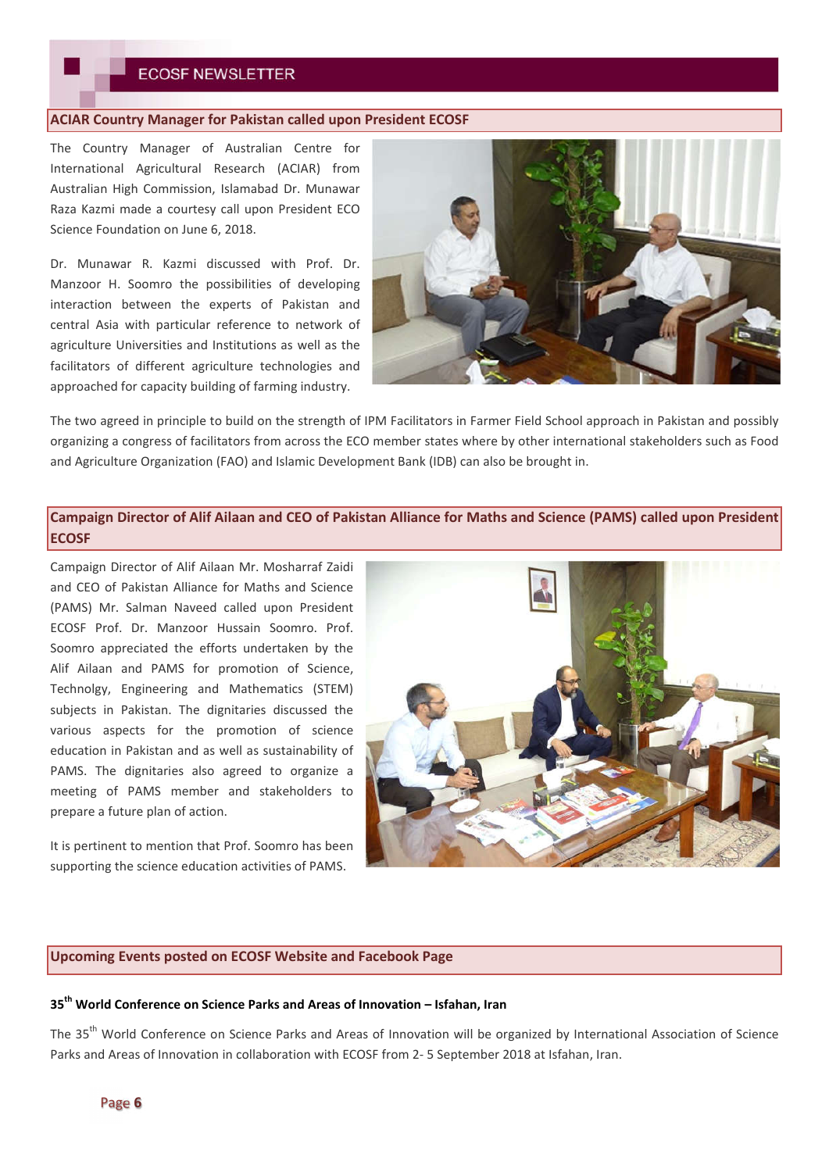### **ACIAR Country Manager for Pakistan called upon President ECOSF**

The Country Manager of Australian Centre for International Agricultural Research (ACIAR) from Australian High Commission, Islamabad Dr. Munawar Raza Kazmi made a courtesy call upon President ECO Science Foundation on June 6, 2018.

Dr. Munawar R. Kazmi discussed with Prof. Dr. Manzoor H. Soomro the possibilities of developing interaction between the experts of Pakistan and central Asia with particular reference to network of agriculture Universities and Institutions as well as the facilitators of different agriculture technologies and approached for capacity building of farming industry.



The two agreed in principle to build on the strength of IPM Facilitators in Farmer Field School approach in Pakistan and possibly organizing a congress of facilitators from across the ECO member states where by other international stakeholders such as Food and Agriculture Organization (FAO) and Islamic Development Bank (IDB) can also be brought in.

# **Campaign Director of Alif Ailaan and CEO of Pakistan Alliance for Maths and Science (PAMS) called upon President ECOSF**

Campaign Director of Alif Ailaan Mr. Mosharraf Zaidi and CEO of Pakistan Alliance for Maths and Science (PAMS) Mr. Salman Naveed called upon President ECOSF Prof. Dr. Manzoor Hussain Soomro. Prof. Soomro appreciated the efforts undertaken by the Alif Ailaan and PAMS for promotion of Science, Technolgy, Engineering and Mathematics (STEM) subjects in Pakistan. The dignitaries discussed the various aspects for the promotion of science education in Pakistan and as well as sustainability of PAMS. The dignitaries also agreed to organize a meeting of PAMS member and stakeholders to prepare a future plan of action.

It is pertinent to mention that Prof. Soomro has been supporting the science education activities of PAMS.



#### **Upcoming Events posted on ECOSF Website and Facebook Page**

#### **35th World Conference on Science Parks and Areas of Innovation – Isfahan, Iran**

The 35<sup>th</sup> World Conference on Science Parks and Areas of Innovation will be organized by International Association of Science Parks and Areas of Innovation in collaboration with ECOSF from 2- 5 September 2018 at Isfahan, Iran.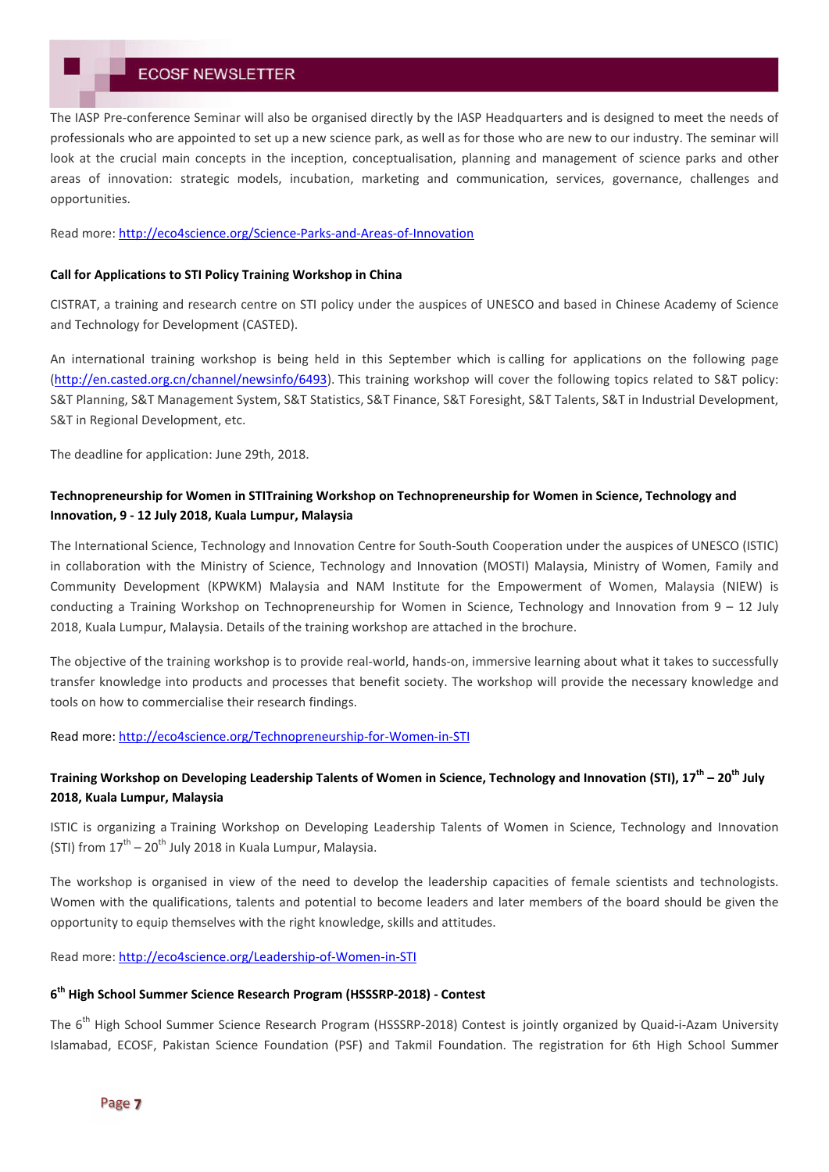The IASP Pre-conference Seminar will also be organised directly by the IASP Headquarters and is designed to meet the needs of professionals who are appointed to set up a new science park, as well as for those who are new to our industry. The seminar will look at the crucial main concepts in the inception, conceptualisation, planning and management of science parks and other areas of innovation: strategic models, incubation, marketing and communication, services, governance, challenges and opportunities.

Read more: http://eco4science.org/Science-Parks-and-Areas-of-Innovation

#### **Call for Applications to STI Policy Training Workshop in China**

CISTRAT, a training and research centre on STI policy under the auspices of UNESCO and based in Chinese Academy of Science and Technology for Development (CASTED).

An international training workshop is being held in this September which is calling for applications on the following page (http://en.casted.org.cn/channel/newsinfo/6493). This training workshop will cover the following topics related to S&T policy: S&T Planning, S&T Management System, S&T Statistics, S&T Finance, S&T Foresight, S&T Talents, S&T in Industrial Development, S&T in Regional Development, etc.

The deadline for application: June 29th, 2018.

### **Technopreneurship for Women in STITraining Workshop on Technopreneurship for Women in Science, Technology and Innovation, 9 - 12 July 2018, Kuala Lumpur, Malaysia**

The International Science, Technology and Innovation Centre for South-South Cooperation under the auspices of UNESCO (ISTIC) in collaboration with the Ministry of Science, Technology and Innovation (MOSTI) Malaysia, Ministry of Women, Family and Community Development (KPWKM) Malaysia and NAM Institute for the Empowerment of Women, Malaysia (NIEW) is conducting a Training Workshop on Technopreneurship for Women in Science, Technology and Innovation from  $9 - 12$  July 2018, Kuala Lumpur, Malaysia. Details of the training workshop are attached in the brochure.

The objective of the training workshop is to provide real-world, hands-on, immersive learning about what it takes to successfully transfer knowledge into products and processes that benefit society. The workshop will provide the necessary knowledge and tools on how to commercialise their research findings.

Read more: http://eco4science.org/Technopreneurship-for-Women-in-STI

# **Training Workshop on Developing Leadership Talents of Women in Science, Technology and Innovation (STI), 17th – 20th July 2018, Kuala Lumpur, Malaysia**

ISTIC is organizing a Training Workshop on Developing Leadership Talents of Women in Science, Technology and Innovation (STI) from  $17^{th} - 20^{th}$  July 2018 in Kuala Lumpur, Malaysia.

The workshop is organised in view of the need to develop the leadership capacities of female scientists and technologists. Women with the qualifications, talents and potential to become leaders and later members of the board should be given the opportunity to equip themselves with the right knowledge, skills and attitudes.

Read more: http://eco4science.org/Leadership-of-Women-in-STI

### **6 th High School Summer Science Research Program (HSSSRP-2018) - Contest**

The 6<sup>th</sup> High School Summer Science Research Program (HSSSRP-2018) Contest is jointly organized by Quaid-i-Azam University Islamabad, ECOSF, Pakistan Science Foundation (PSF) and Takmil Foundation. The registration for 6th High School Summer